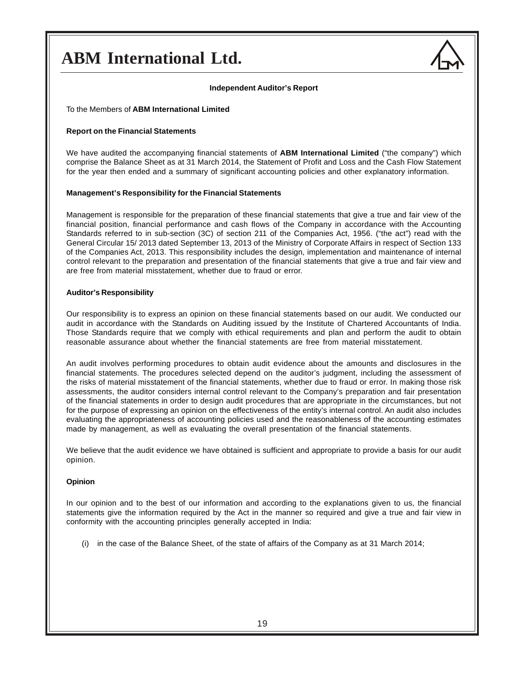### **Independent Auditor's Report**

#### To the Members of **ABM International Limited**

#### **Report on the Financial Statements**

We have audited the accompanying financial statements of **ABM International Limited** ("the company") which comprise the Balance Sheet as at 31 March 2014, the Statement of Profit and Loss and the Cash Flow Statement for the year then ended and a summary of significant accounting policies and other explanatory information.

#### **Management's Responsibility for the Financial Statements**

Management is responsible for the preparation of these financial statements that give a true and fair view of the financial position, financial performance and cash flows of the Company in accordance with the Accounting Standards referred to in sub-section (3C) of section 211 of the Companies Act, 1956. ("the act") read with the General Circular 15/ 2013 dated September 13, 2013 of the Ministry of Corporate Affairs in respect of Section 133 of the Companies Act, 2013. This responsibility includes the design, implementation and maintenance of internal control relevant to the preparation and presentation of the financial statements that give a true and fair view and are free from material misstatement, whether due to fraud or error.

### **Auditor's Responsibility**

Our responsibility is to express an opinion on these financial statements based on our audit. We conducted our audit in accordance with the Standards on Auditing issued by the Institute of Chartered Accountants of India. Those Standards require that we comply with ethical requirements and plan and perform the audit to obtain reasonable assurance about whether the financial statements are free from material misstatement.

An audit involves performing procedures to obtain audit evidence about the amounts and disclosures in the financial statements. The procedures selected depend on the auditor's judgment, including the assessment of the risks of material misstatement of the financial statements, whether due to fraud or error. In making those risk assessments, the auditor considers internal control relevant to the Company's preparation and fair presentation of the financial statements in order to design audit procedures that are appropriate in the circumstances, but not for the purpose of expressing an opinion on the effectiveness of the entity's internal control. An audit also includes evaluating the appropriateness of accounting policies used and the reasonableness of the accounting estimates made by management, as well as evaluating the overall presentation of the financial statements.

We believe that the audit evidence we have obtained is sufficient and appropriate to provide a basis for our audit opinion.

#### **Opinion**

In our opinion and to the best of our information and according to the explanations given to us, the financial statements give the information required by the Act in the manner so required and give a true and fair view in conformity with the accounting principles generally accepted in India:

(i) in the case of the Balance Sheet, of the state of affairs of the Company as at 31 March 2014;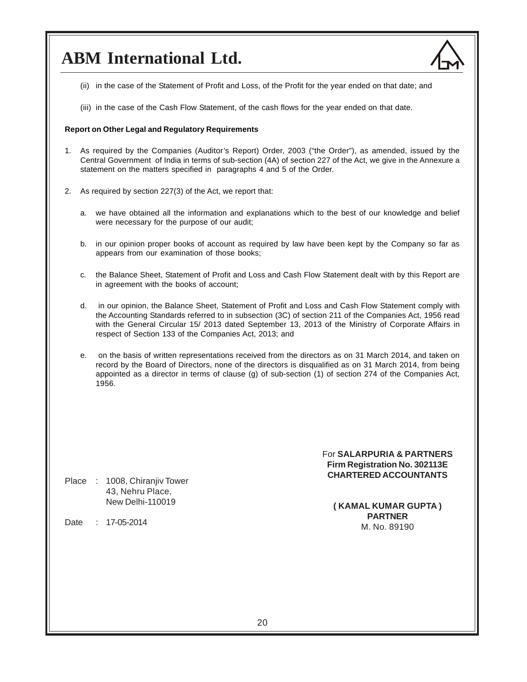

(ii) in the case of the Statement of Profit and Loss, of the Profit for the year ended on that date; and

(iii) in the case of the Cash Flow Statement, of the cash flows for the year ended on that date.

### **Report on Other Legal and Regulatory Requirements**

- 1. As required by the Companies (Auditor's Report) Order, 2003 ("the Order"), as amended, issued by the Central Government of India in terms of sub-section (4A) of section 227 of the Act, we give in the Annexure a statement on the matters specified in paragraphs 4 and 5 of the Order.
- 2. As required by section 227(3) of the Act, we report that:
	- a. we have obtained all the information and explanations which to the best of our knowledge and belief were necessary for the purpose of our audit;
	- b. in our opinion proper books of account as required by law have been kept by the Company so far as appears from our examination of those books;
	- c. the Balance Sheet, Statement of Profit and Loss and Cash Flow Statement dealt with by this Report are in agreement with the books of account;
	- d. in our opinion, the Balance Sheet, Statement of Profit and Loss and Cash Flow Statement comply with the Accounting Standards referred to in subsection (3C) of section 211 of the Companies Act, 1956 read with the General Circular 15/ 2013 dated September 13, 2013 of the Ministry of Corporate Affairs in respect of Section 133 of the Companies Act, 2013; and
	- e. on the basis of written representations received from the directors as on 31 March 2014, and taken on record by the Board of Directors, none of the directors is disqualified as on 31 March 2014, from being appointed as a director in terms of clause (g) of sub-section (1) of section 274 of the Companies Act, 1956.

For **SALARPURIA & PARTNERS Firm Registration No. 302113E CHARTERED ACCOUNTANTS**

**( KAMAL KUMAR GUPTA ) PARTNER** M. No. 89190

Place : 1008, Chiranjiv Tower 43, Nehru Place, New Delhi-110019

Date : 17-05-2014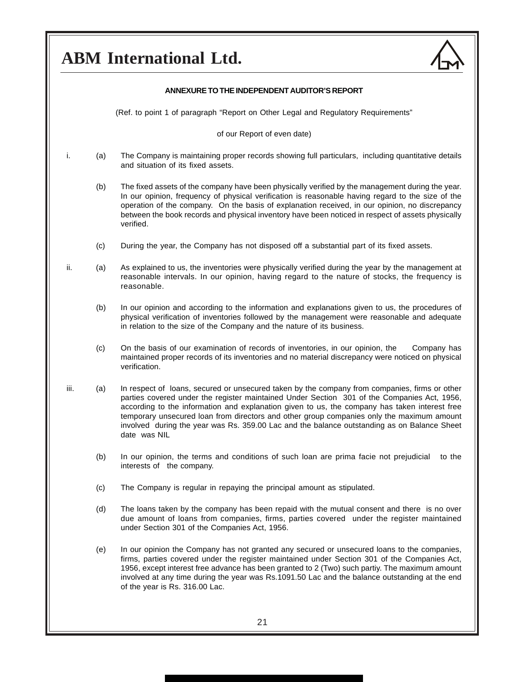

| ANNEXURE TO THE INDEPENDENT AUDITOR'S REPORT |     |                                                                                                                                                                                                                                                                                                                                                                                                                                                                                                           |
|----------------------------------------------|-----|-----------------------------------------------------------------------------------------------------------------------------------------------------------------------------------------------------------------------------------------------------------------------------------------------------------------------------------------------------------------------------------------------------------------------------------------------------------------------------------------------------------|
|                                              |     | (Ref. to point 1 of paragraph "Report on Other Legal and Regulatory Requirements"                                                                                                                                                                                                                                                                                                                                                                                                                         |
| of our Report of even date)                  |     |                                                                                                                                                                                                                                                                                                                                                                                                                                                                                                           |
| i.                                           | (a) | The Company is maintaining proper records showing full particulars, including quantitative details<br>and situation of its fixed assets.                                                                                                                                                                                                                                                                                                                                                                  |
|                                              | (b) | The fixed assets of the company have been physically verified by the management during the year.<br>In our opinion, frequency of physical verification is reasonable having regard to the size of the<br>operation of the company. On the basis of explanation received, in our opinion, no discrepancy<br>between the book records and physical inventory have been noticed in respect of assets physically<br>verified.                                                                                 |
|                                              | (c) | During the year, the Company has not disposed off a substantial part of its fixed assets.                                                                                                                                                                                                                                                                                                                                                                                                                 |
| ii.                                          | (a) | As explained to us, the inventories were physically verified during the year by the management at<br>reasonable intervals. In our opinion, having regard to the nature of stocks, the frequency is<br>reasonable.                                                                                                                                                                                                                                                                                         |
|                                              | (b) | In our opinion and according to the information and explanations given to us, the procedures of<br>physical verification of inventories followed by the management were reasonable and adequate<br>in relation to the size of the Company and the nature of its business.                                                                                                                                                                                                                                 |
|                                              | (c) | On the basis of our examination of records of inventories, in our opinion, the<br>Company has<br>maintained proper records of its inventories and no material discrepancy were noticed on physical<br>verification.                                                                                                                                                                                                                                                                                       |
| iii.                                         | (a) | In respect of loans, secured or unsecured taken by the company from companies, firms or other<br>parties covered under the register maintained Under Section 301 of the Companies Act, 1956,<br>according to the information and explanation given to us, the company has taken interest free<br>temporary unsecured loan from directors and other group companies only the maximum amount<br>involved during the year was Rs. 359.00 Lac and the balance outstanding as on Balance Sheet<br>date was NIL |
|                                              | (b) | In our opinion, the terms and conditions of such loan are prima facie not prejudicial<br>to the<br>interests of the company.                                                                                                                                                                                                                                                                                                                                                                              |
|                                              | (c) | The Company is regular in repaying the principal amount as stipulated.                                                                                                                                                                                                                                                                                                                                                                                                                                    |
|                                              | (d) | The loans taken by the company has been repaid with the mutual consent and there is no over<br>due amount of loans from companies, firms, parties covered under the register maintained<br>under Section 301 of the Companies Act, 1956.                                                                                                                                                                                                                                                                  |
|                                              | (e) | In our opinion the Company has not granted any secured or unsecured loans to the companies,<br>firms, parties covered under the register maintained under Section 301 of the Companies Act,<br>1956, except interest free advance has been granted to 2 (Two) such partiy. The maximum amount<br>involved at any time during the year was Rs.1091.50 Lac and the balance outstanding at the end<br>of the year is Rs. 316.00 Lac.                                                                         |
|                                              |     |                                                                                                                                                                                                                                                                                                                                                                                                                                                                                                           |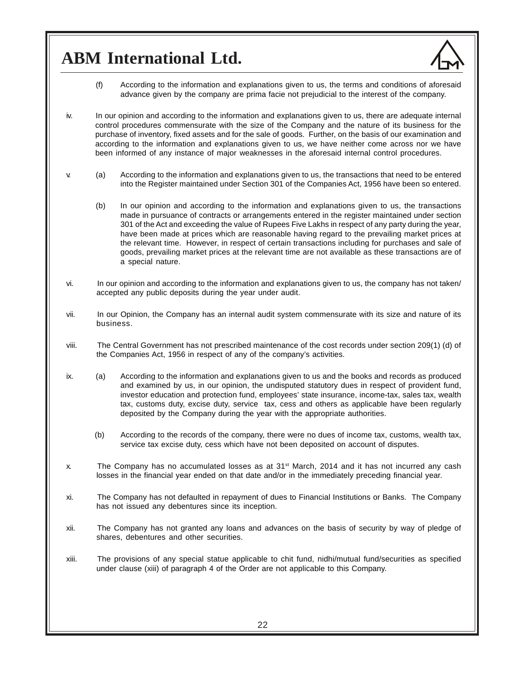

- (f) According to the information and explanations given to us, the terms and conditions of aforesaid advance given by the company are prima facie not prejudicial to the interest of the company.
- iv. In our opinion and according to the information and explanations given to us, there are adequate internal control procedures commensurate with the size of the Company and the nature of its business for the purchase of inventory, fixed assets and for the sale of goods. Further, on the basis of our examination and according to the information and explanations given to us, we have neither come across nor we have been informed of any instance of major weaknesses in the aforesaid internal control procedures.
- v. (a) According to the information and explanations given to us, the transactions that need to be entered into the Register maintained under Section 301 of the Companies Act, 1956 have been so entered.
	- (b) In our opinion and according to the information and explanations given to us, the transactions made in pursuance of contracts or arrangements entered in the register maintained under section 301 of the Act and exceeding the value of Rupees Five Lakhs in respect of any party during the year, have been made at prices which are reasonable having regard to the prevailing market prices at the relevant time. However, in respect of certain transactions including for purchases and sale of goods, prevailing market prices at the relevant time are not available as these transactions are of a special nature.
- vi. In our opinion and according to the information and explanations given to us, the company has not taken/ accepted any public deposits during the year under audit.
- vii. In our Opinion, the Company has an internal audit system commensurate with its size and nature of its business.
- viii. The Central Government has not prescribed maintenance of the cost records under section 209(1) (d) of the Companies Act, 1956 in respect of any of the company's activities.
- ix. (a) According to the information and explanations given to us and the books and records as produced and examined by us, in our opinion, the undisputed statutory dues in respect of provident fund, investor education and protection fund, employees' state insurance, income-tax, sales tax, wealth tax, customs duty, excise duty, service tax, cess and others as applicable have been regularly deposited by the Company during the year with the appropriate authorities.
	- (b) According to the records of the company, there were no dues of income tax, customs, wealth tax, service tax excise duty, cess which have not been deposited on account of disputes.
- x. The Company has no accumulated losses as at 31st March, 2014 and it has not incurred any cash losses in the financial year ended on that date and/or in the immediately preceding financial year.
- xi. The Company has not defaulted in repayment of dues to Financial Institutions or Banks. The Company has not issued any debentures since its inception.
- xii. The Company has not granted any loans and advances on the basis of security by way of pledge of shares, debentures and other securities.
- xiii. The provisions of any special statue applicable to chit fund, nidhi/mutual fund/securities as specified under clause (xiii) of paragraph 4 of the Order are not applicable to this Company.